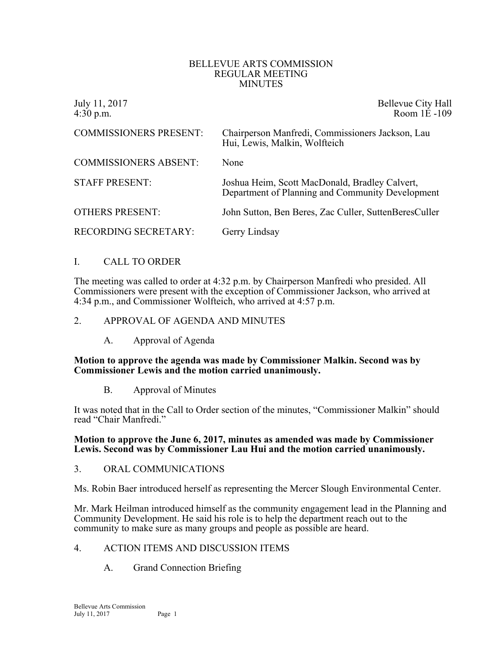#### BELLEVUE ARTS COMMISSION REGULAR MEETING MINUTES

| July 11, 2017<br>$4:30$ p.m.  | Bellevue City Hall<br>Room 1E-109                                                                  |
|-------------------------------|----------------------------------------------------------------------------------------------------|
| <b>COMMISSIONERS PRESENT:</b> | Chairperson Manfredi, Commissioners Jackson, Lau<br>Hui, Lewis, Malkin, Wolfteich                  |
| <b>COMMISSIONERS ABSENT:</b>  | None                                                                                               |
| <b>STAFF PRESENT:</b>         | Joshua Heim, Scott MacDonald, Bradley Calvert,<br>Department of Planning and Community Development |
| <b>OTHERS PRESENT:</b>        | John Sutton, Ben Beres, Zac Culler, SuttenBeresCuller                                              |
| <b>RECORDING SECRETARY:</b>   | Gerry Lindsay                                                                                      |

## I. CALL TO ORDER

The meeting was called to order at 4:32 p.m. by Chairperson Manfredi who presided. All Commissioners were present with the exception of Commissioner Jackson, who arrived at 4:34 p.m., and Commissioner Wolfteich, who arrived at 4:57 p.m.

#### 2. APPROVAL OF AGENDA AND MINUTES

A. Approval of Agenda

#### **Motion to approve the agenda was made by Commissioner Malkin. Second was by Commissioner Lewis and the motion carried unanimously.**

B. Approval of Minutes

It was noted that in the Call to Order section of the minutes, "Commissioner Malkin" should read "Chair Manfredi."

#### **Motion to approve the June 6, 2017, minutes as amended was made by Commissioner Lewis. Second was by Commissioner Lau Hui and the motion carried unanimously.**

- 3. ORAL COMMUNICATIONS
- Ms. Robin Baer introduced herself as representing the Mercer Slough Environmental Center.

Mr. Mark Heilman introduced himself as the community engagement lead in the Planning and Community Development. He said his role is to help the department reach out to the community to make sure as many groups and people as possible are heard.

- 4. ACTION ITEMS AND DISCUSSION ITEMS
	- A. Grand Connection Briefing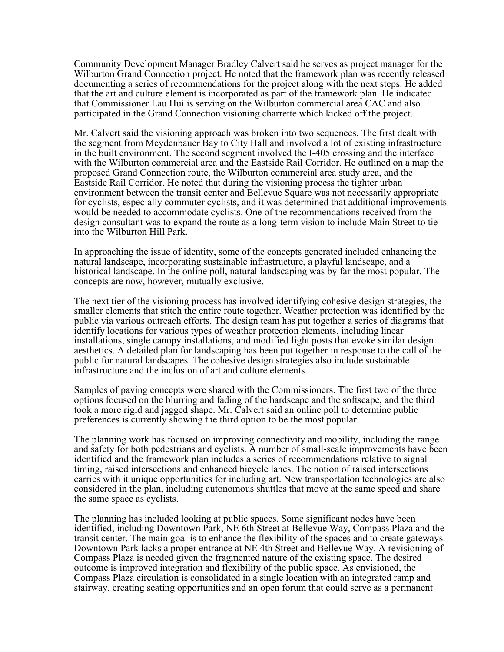Community Development Manager Bradley Calvert said he serves as project manager for the Wilburton Grand Connection project. He noted that the framework plan was recently released documenting a series of recommendations for the project along with the next steps. He added that the art and culture element is incorporated as part of the framework plan. He indicated that Commissioner Lau Hui is serving on the Wilburton commercial area CAC and also participated in the Grand Connection visioning charrette which kicked off the project.

Mr. Calvert said the visioning approach was broken into two sequences. The first dealt with the segment from Meydenbauer Bay to City Hall and involved a lot of existing infrastructure in the built environment. The second segment involved the I-405 crossing and the interface with the Wilburton commercial area and the Eastside Rail Corridor. He outlined on a map the proposed Grand Connection route, the Wilburton commercial area study area, and the Eastside Rail Corridor. He noted that during the visioning process the tighter urban environment between the transit center and Bellevue Square was not necessarily appropriate for cyclists, especially commuter cyclists, and it was determined that additional improvements would be needed to accommodate cyclists. One of the recommendations received from the design consultant was to expand the route as a long-term vision to include Main Street to tie into the Wilburton Hill Park.

In approaching the issue of identity, some of the concepts generated included enhancing the natural landscape, incorporating sustainable infrastructure, a playful landscape, and a historical landscape. In the online poll, natural landscaping was by far the most popular. The concepts are now, however, mutually exclusive.

The next tier of the visioning process has involved identifying cohesive design strategies, the smaller elements that stitch the entire route together. Weather protection was identified by the public via various outreach efforts. The design team has put together a series of diagrams that identify locations for various types of weather protection elements, including linear installations, single canopy installations, and modified light posts that evoke similar design aesthetics. A detailed plan for landscaping has been put together in response to the call of the public for natural landscapes. The cohesive design strategies also include sustainable infrastructure and the inclusion of art and culture elements.

Samples of paving concepts were shared with the Commissioners. The first two of the three options focused on the blurring and fading of the hardscape and the softscape, and the third took a more rigid and jagged shape. Mr. Calvert said an online poll to determine public preferences is currently showing the third option to be the most popular.

The planning work has focused on improving connectivity and mobility, including the range and safety for both pedestrians and cyclists. A number of small-scale improvements have been identified and the framework plan includes a series of recommendations relative to signal timing, raised intersections and enhanced bicycle lanes. The notion of raised intersections carries with it unique opportunities for including art. New transportation technologies are also considered in the plan, including autonomous shuttles that move at the same speed and share the same space as cyclists.

The planning has included looking at public spaces. Some significant nodes have been identified, including Downtown Park, NE 6th Street at Bellevue Way, Compass Plaza and the transit center. The main goal is to enhance the flexibility of the spaces and to create gateways. Downtown Park lacks a proper entrance at NE 4th Street and Bellevue Way. A revisioning of Compass Plaza is needed given the fragmented nature of the existing space. The desired outcome is improved integration and flexibility of the public space. As envisioned, the Compass Plaza circulation is consolidated in a single location with an integrated ramp and stairway, creating seating opportunities and an open forum that could serve as a permanent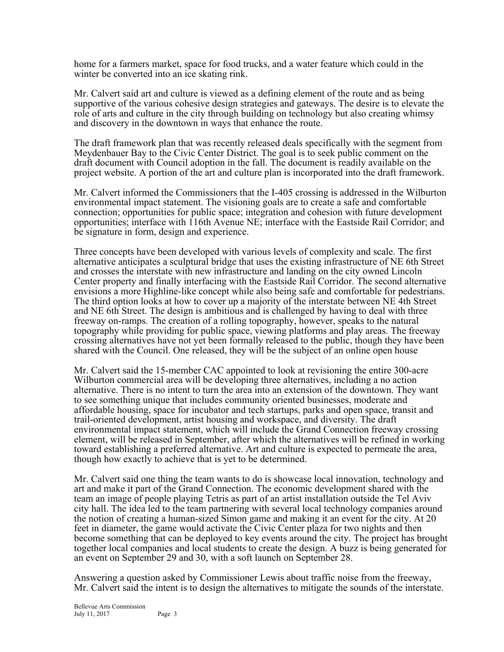home for a farmers market, space for food trucks, and a water feature which could in the winter be converted into an ice skating rink.

Mr. Calvert said art and culture is viewed as a defining element of the route and as being supportive of the various cohesive design strategies and gateways. The desire is to elevate the role of arts and culture in the city through building on technology but also creating whimsy and discovery in the downtown in ways that enhance the route.

The draft framework plan that was recently released deals specifically with the segment from Meydenbauer Bay to the Civic Center District. The goal is to seek public comment on the draft document with Council adoption in the fall. The document is readily available on the project website. A portion of the art and culture plan is incorporated into the draft framework.

Mr. Calvert informed the Commissioners that the I-405 crossing is addressed in the Wilburton environmental impact statement. The visioning goals are to create a safe and comfortable connection; opportunities for public space; integration and cohesion with future development opportunities; interface with 116th Avenue NE; interface with the Eastside Rail Corridor; and be signature in form, design and experience.

Three concepts have been developed with various levels of complexity and scale. The first alternative anticipates a sculptural bridge that uses the existing infrastructure of NE 6th Street and crosses the interstate with new infrastructure and landing on the city owned Lincoln Center property and finally interfacing with the Eastside Rail Corridor. The second alternative envisions a more Highline-like concept while also being safe and comfortable for pedestrians. The third option looks at how to cover up a majority of the interstate between NE 4th Street and NE 6th Street. The design is ambitious and is challenged by having to deal with three freeway on-ramps. The creation of a rolling topography, however, speaks to the natural topography while providing for public space, viewing platforms and play areas. The freeway crossing alternatives have not yet been formally released to the public, though they have been shared with the Council. One released, they will be the subject of an online open house

Mr. Calvert said the 15-member CAC appointed to look at revisioning the entire 300-acre Wilburton commercial area will be developing three alternatives, including a no action alternative. There is no intent to turn the area into an extension of the downtown. They want to see something unique that includes community oriented businesses, moderate and affordable housing, space for incubator and tech startups, parks and open space, transit and trail-oriented development, artist housing and workspace, and diversity. The draft environmental impact statement, which will include the Grand Connection freeway crossing element, will be released in September, after which the alternatives will be refined in working toward establishing a preferred alternative. Art and culture is expected to permeate the area, though how exactly to achieve that is yet to be determined.

Mr. Calvert said one thing the team wants to do is showcase local innovation, technology and art and make it part of the Grand Connection. The economic development shared with the team an image of people playing Tetris as part of an artist installation outside the Tel Aviv city hall. The idea led to the team partnering with several local technology companies around the notion of creating a human-sized Simon game and making it an event for the city. At 20 feet in diameter, the game would activate the Civic Center plaza for two nights and then become something that can be deployed to key events around the city. The project has brought together local companies and local students to create the design. A buzz is being generated for an event on September 29 and 30, with a soft launch on September 28.

Answering a question asked by Commissioner Lewis about traffic noise from the freeway, Mr. Calvert said the intent is to design the alternatives to mitigate the sounds of the interstate.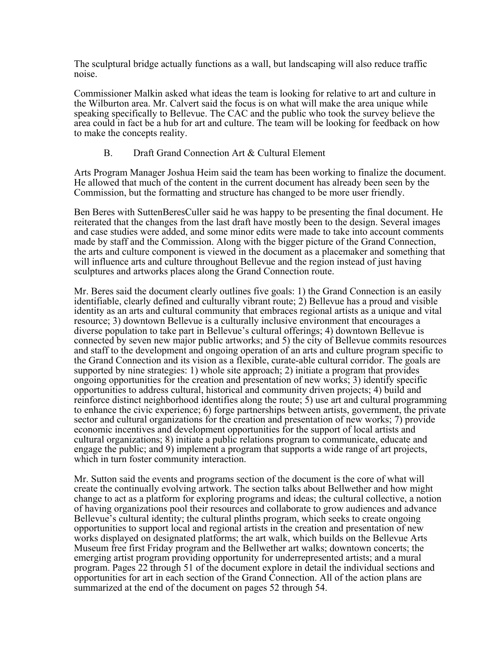The sculptural bridge actually functions as a wall, but landscaping will also reduce traffic noise.

Commissioner Malkin asked what ideas the team is looking for relative to art and culture in the Wilburton area. Mr. Calvert said the focus is on what will make the area unique while speaking specifically to Bellevue. The CAC and the public who took the survey believe the area could in fact be a hub for art and culture. The team will be looking for feedback on how to make the concepts reality.

# B. Draft Grand Connection Art & Cultural Element

Arts Program Manager Joshua Heim said the team has been working to finalize the document. He allowed that much of the content in the current document has already been seen by the Commission, but the formatting and structure has changed to be more user friendly.

Ben Beres with SuttenBeresCuller said he was happy to be presenting the final document. He reiterated that the changes from the last draft have mostly been to the design. Several images and case studies were added, and some minor edits were made to take into account comments made by staff and the Commission. Along with the bigger picture of the Grand Connection, the arts and culture component is viewed in the document as a placemaker and something that will influence arts and culture throughout Bellevue and the region instead of just having sculptures and artworks places along the Grand Connection route.

Mr. Beres said the document clearly outlines five goals: 1) the Grand Connection is an easily identifiable, clearly defined and culturally vibrant route; 2) Bellevue has a proud and visible identity as an arts and cultural community that embraces regional artists as a unique and vital resource; 3) downtown Bellevue is a culturally inclusive environment that encourages a diverse population to take part in Bellevue's cultural offerings; 4) downtown Bellevue is connected by seven new major public artworks; and 5) the city of Bellevue commits resources and staff to the development and ongoing operation of an arts and culture program specific to the Grand Connection and its vision as a flexible, curate-able cultural corridor. The goals are supported by nine strategies: 1) whole site approach; 2) initiate a program that provides ongoing opportunities for the creation and presentation of new works; 3) identify specific opportunities to address cultural, historical and community driven projects; 4) build and reinforce distinct neighborhood identifies along the route; 5) use art and cultural programming to enhance the civic experience; 6) forge partnerships between artists, government, the private sector and cultural organizations for the creation and presentation of new works; 7) provide economic incentives and development opportunities for the support of local artists and cultural organizations; 8) initiate a public relations program to communicate, educate and engage the public; and 9) implement a program that supports a wide range of art projects, which in turn foster community interaction.

Mr. Sutton said the events and programs section of the document is the core of what will create the continually evolving artwork. The section talks about Bellwether and how might change to act as a platform for exploring programs and ideas; the cultural collective, a notion of having organizations pool their resources and collaborate to grow audiences and advance Bellevue's cultural identity; the cultural plinths program, which seeks to create ongoing opportunities to support local and regional artists in the creation and presentation of new works displayed on designated platforms; the art walk, which builds on the Bellevue Arts Museum free first Friday program and the Bellwether art walks; downtown concerts; the emerging artist program providing opportunity for underrepresented artists; and a mural program. Pages 22 through 51 of the document explore in detail the individual sections and opportunities for art in each section of the Grand Connection. All of the action plans are summarized at the end of the document on pages 52 through 54.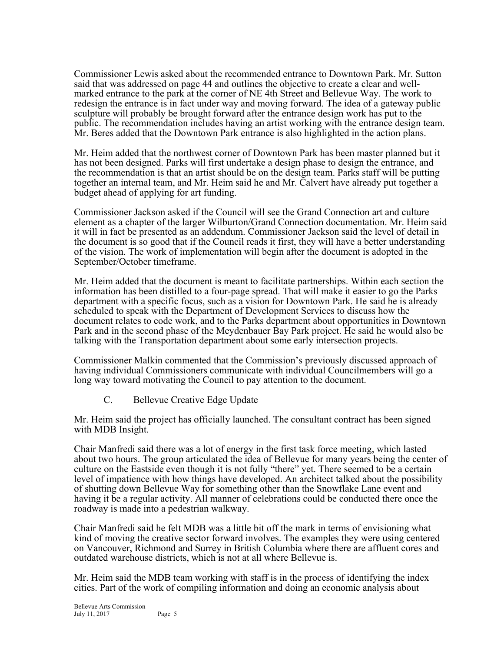Commissioner Lewis asked about the recommended entrance to Downtown Park. Mr. Sutton said that was addressed on page 44 and outlines the objective to create a clear and wellmarked entrance to the park at the corner of NE 4th Street and Bellevue Way. The work to redesign the entrance is in fact under way and moving forward. The idea of a gateway public sculpture will probably be brought forward after the entrance design work has put to the public. The recommendation includes having an artist working with the entrance design team. Mr. Beres added that the Downtown Park entrance is also highlighted in the action plans.

Mr. Heim added that the northwest corner of Downtown Park has been master planned but it has not been designed. Parks will first undertake a design phase to design the entrance, and the recommendation is that an artist should be on the design team. Parks staff will be putting together an internal team, and Mr. Heim said he and Mr. Calvert have already put together a budget ahead of applying for art funding.

Commissioner Jackson asked if the Council will see the Grand Connection art and culture element as a chapter of the larger Wilburton/Grand Connection documentation. Mr. Heim said it will in fact be presented as an addendum. Commissioner Jackson said the level of detail in the document is so good that if the Council reads it first, they will have a better understanding of the vision. The work of implementation will begin after the document is adopted in the September/October timeframe.

Mr. Heim added that the document is meant to facilitate partnerships. Within each section the information has been distilled to a four-page spread. That will make it easier to go the Parks department with a specific focus, such as a vision for Downtown Park. He said he is already scheduled to speak with the Department of Development Services to discuss how the document relates to code work, and to the Parks department about opportunities in Downtown Park and in the second phase of the Meydenbauer Bay Park project. He said he would also be talking with the Transportation department about some early intersection projects.

Commissioner Malkin commented that the Commission's previously discussed approach of having individual Commissioners communicate with individual Councilmembers will go a long way toward motivating the Council to pay attention to the document.

C. Bellevue Creative Edge Update

Mr. Heim said the project has officially launched. The consultant contract has been signed with MDB Insight.

Chair Manfredi said there was a lot of energy in the first task force meeting, which lasted about two hours. The group articulated the idea of Bellevue for many years being the center of culture on the Eastside even though it is not fully "there" yet. There seemed to be a certain level of impatience with how things have developed. An architect talked about the possibility of shutting down Bellevue Way for something other than the Snowflake Lane event and having it be a regular activity. All manner of celebrations could be conducted there once the roadway is made into a pedestrian walkway.

Chair Manfredi said he felt MDB was a little bit off the mark in terms of envisioning what kind of moving the creative sector forward involves. The examples they were using centered on Vancouver, Richmond and Surrey in British Columbia where there are affluent cores and outdated warehouse districts, which is not at all where Bellevue is.

Mr. Heim said the MDB team working with staff is in the process of identifying the index cities. Part of the work of compiling information and doing an economic analysis about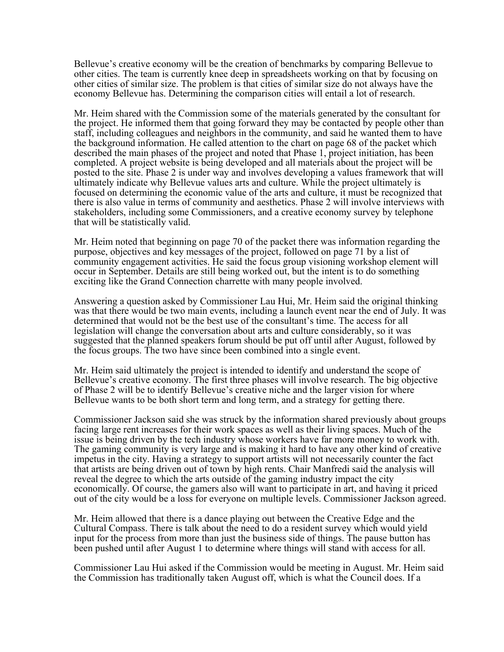Bellevue's creative economy will be the creation of benchmarks by comparing Bellevue to other cities. The team is currently knee deep in spreadsheets working on that by focusing on other cities of similar size. The problem is that cities of similar size do not always have the economy Bellevue has. Determining the comparison cities will entail a lot of research.

Mr. Heim shared with the Commission some of the materials generated by the consultant for the project. He informed them that going forward they may be contacted by people other than staff, including colleagues and neighbors in the community, and said he wanted them to have the background information. He called attention to the chart on page 68 of the packet which described the main phases of the project and noted that Phase 1, project initiation, has been completed. A project website is being developed and all materials about the project will be posted to the site. Phase 2 is under way and involves developing a values framework that will ultimately indicate why Bellevue values arts and culture. While the project ultimately is focused on determining the economic value of the arts and culture, it must be recognized that there is also value in terms of community and aesthetics. Phase 2 will involve interviews with stakeholders, including some Commissioners, and a creative economy survey by telephone that will be statistically valid.

Mr. Heim noted that beginning on page 70 of the packet there was information regarding the purpose, objectives and key messages of the project, followed on page 71 by a list of community engagement activities. He said the focus group visioning workshop element will occur in September. Details are still being worked out, but the intent is to do something exciting like the Grand Connection charrette with many people involved.

Answering a question asked by Commissioner Lau Hui, Mr. Heim said the original thinking was that there would be two main events, including a launch event near the end of July. It was determined that would not be the best use of the consultant's time. The access for all legislation will change the conversation about arts and culture considerably, so it was suggested that the planned speakers forum should be put off until after August, followed by the focus groups. The two have since been combined into a single event.

Mr. Heim said ultimately the project is intended to identify and understand the scope of Bellevue's creative economy. The first three phases will involve research. The big objective of Phase 2 will be to identify Bellevue's creative niche and the larger vision for where Bellevue wants to be both short term and long term, and a strategy for getting there.

Commissioner Jackson said she was struck by the information shared previously about groups facing large rent increases for their work spaces as well as their living spaces. Much of the issue is being driven by the tech industry whose workers have far more money to work with. The gaming community is very large and is making it hard to have any other kind of creative impetus in the city. Having a strategy to support artists will not necessarily counter the fact that artists are being driven out of town by high rents. Chair Manfredi said the analysis will reveal the degree to which the arts outside of the gaming industry impact the city economically. Of course, the gamers also will want to participate in art, and having it priced out of the city would be a loss for everyone on multiple levels. Commissioner Jackson agreed.

Mr. Heim allowed that there is a dance playing out between the Creative Edge and the Cultural Compass. There is talk about the need to do a resident survey which would yield input for the process from more than just the business side of things. The pause button has been pushed until after August 1 to determine where things will stand with access for all.

Commissioner Lau Hui asked if the Commission would be meeting in August. Mr. Heim said the Commission has traditionally taken August off, which is what the Council does. If a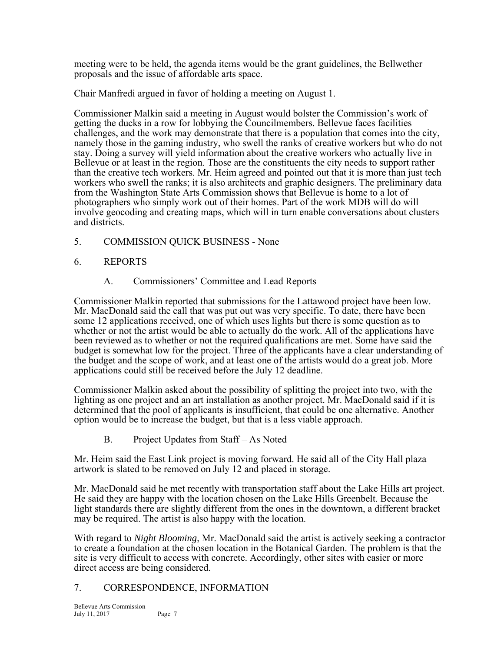meeting were to be held, the agenda items would be the grant guidelines, the Bellwether proposals and the issue of affordable arts space.

Chair Manfredi argued in favor of holding a meeting on August 1.

Commissioner Malkin said a meeting in August would bolster the Commission's work of getting the ducks in a row for lobbying the Councilmembers. Bellevue faces facilities challenges, and the work may demonstrate that there is a population that comes into the city, namely those in the gaming industry, who swell the ranks of creative workers but who do not stay. Doing a survey will yield information about the creative workers who actually live in Bellevue or at least in the region. Those are the constituents the city needs to support rather than the creative tech workers. Mr. Heim agreed and pointed out that it is more than just tech workers who swell the ranks; it is also architects and graphic designers. The preliminary data from the Washington State Arts Commission shows that Bellevue is home to a lot of photographers who simply work out of their homes. Part of the work MDB will do will involve geocoding and creating maps, which will in turn enable conversations about clusters and districts.

5. COMMISSION QUICK BUSINESS - None

# 6. REPORTS

A. Commissioners' Committee and Lead Reports

Commissioner Malkin reported that submissions for the Lattawood project have been low. Mr. MacDonald said the call that was put out was very specific. To date, there have been some 12 applications received, one of which uses lights but there is some question as to whether or not the artist would be able to actually do the work. All of the applications have been reviewed as to whether or not the required qualifications are met. Some have said the budget is somewhat low for the project. Three of the applicants have a clear understanding of the budget and the scope of work, and at least one of the artists would do a great job. More applications could still be received before the July 12 deadline.

Commissioner Malkin asked about the possibility of splitting the project into two, with the lighting as one project and an art installation as another project. Mr. MacDonald said if it is determined that the pool of applicants is insufficient, that could be one alternative. Another option would be to increase the budget, but that is a less viable approach.

B. Project Updates from Staff – As Noted

Mr. Heim said the East Link project is moving forward. He said all of the City Hall plaza artwork is slated to be removed on July 12 and placed in storage.

Mr. MacDonald said he met recently with transportation staff about the Lake Hills art project. He said they are happy with the location chosen on the Lake Hills Greenbelt. Because the light standards there are slightly different from the ones in the downtown, a different bracket may be required. The artist is also happy with the location.

With regard to *Night Blooming*, Mr. MacDonald said the artist is actively seeking a contractor to create a foundation at the chosen location in the Botanical Garden. The problem is that the site is very difficult to access with concrete. Accordingly, other sites with easier or more direct access are being considered.

## 7. CORRESPONDENCE, INFORMATION